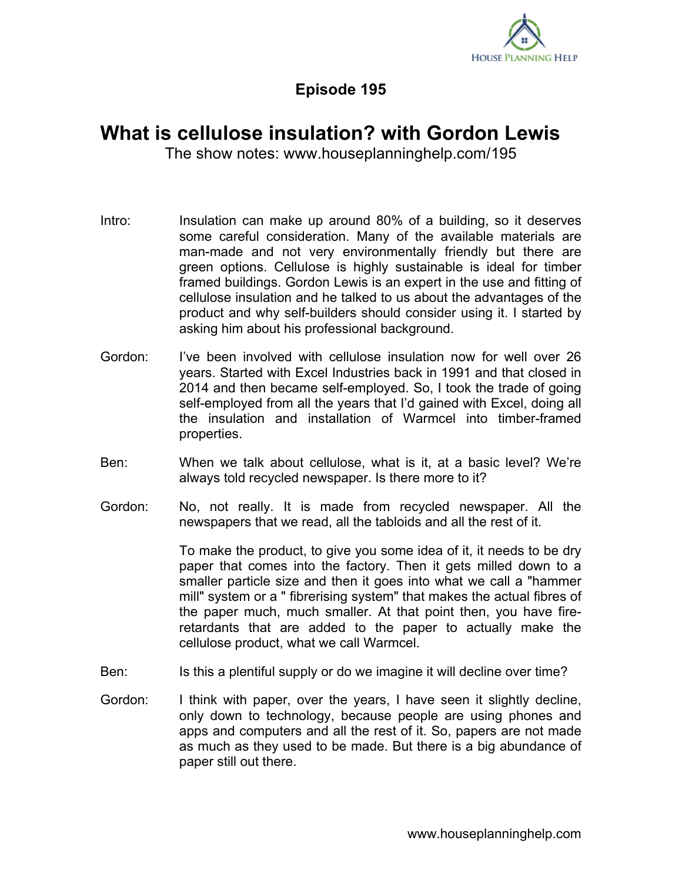

## **Episode 195**

## **What is cellulose insulation? with Gordon Lewis**

The show notes: www.houseplanninghelp.com/195

- Intro: Insulation can make up around 80% of a building, so it deserves some careful consideration. Many of the available materials are man-made and not very environmentally friendly but there are green options. Cellulose is highly sustainable is ideal for timber framed buildings. Gordon Lewis is an expert in the use and fitting of cellulose insulation and he talked to us about the advantages of the product and why self-builders should consider using it. I started by asking him about his professional background.
- Gordon: I've been involved with cellulose insulation now for well over 26 years. Started with Excel Industries back in 1991 and that closed in 2014 and then became self-employed. So, I took the trade of going self-employed from all the years that I'd gained with Excel, doing all the insulation and installation of Warmcel into timber-framed properties.
- Ben: When we talk about cellulose, what is it, at a basic level? We're always told recycled newspaper. Is there more to it?
- Gordon: No, not really. It is made from recycled newspaper. All the newspapers that we read, all the tabloids and all the rest of it.

To make the product, to give you some idea of it, it needs to be dry paper that comes into the factory. Then it gets milled down to a smaller particle size and then it goes into what we call a "hammer mill" system or a " fibrerising system" that makes the actual fibres of the paper much, much smaller. At that point then, you have fireretardants that are added to the paper to actually make the cellulose product, what we call Warmcel.

- Ben: Is this a plentiful supply or do we imagine it will decline over time?
- Gordon: I think with paper, over the years, I have seen it slightly decline, only down to technology, because people are using phones and apps and computers and all the rest of it. So, papers are not made as much as they used to be made. But there is a big abundance of paper still out there.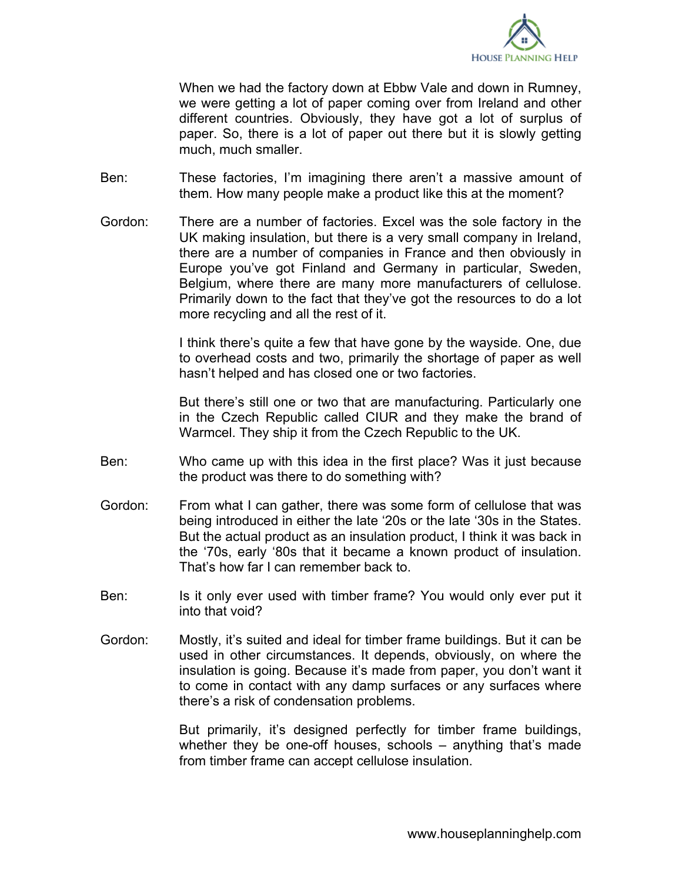

When we had the factory down at Ebbw Vale and down in Rumney, we were getting a lot of paper coming over from Ireland and other different countries. Obviously, they have got a lot of surplus of paper. So, there is a lot of paper out there but it is slowly getting much, much smaller.

- Ben: These factories, I'm imagining there aren't a massive amount of them. How many people make a product like this at the moment?
- Gordon: There are a number of factories. Excel was the sole factory in the UK making insulation, but there is a very small company in Ireland, there are a number of companies in France and then obviously in Europe you've got Finland and Germany in particular, Sweden, Belgium, where there are many more manufacturers of cellulose. Primarily down to the fact that they've got the resources to do a lot more recycling and all the rest of it.

I think there's quite a few that have gone by the wayside. One, due to overhead costs and two, primarily the shortage of paper as well hasn't helped and has closed one or two factories.

But there's still one or two that are manufacturing. Particularly one in the Czech Republic called CIUR and they make the brand of Warmcel. They ship it from the Czech Republic to the UK.

- Ben: Who came up with this idea in the first place? Was it just because the product was there to do something with?
- Gordon: From what I can gather, there was some form of cellulose that was being introduced in either the late '20s or the late '30s in the States. But the actual product as an insulation product, I think it was back in the '70s, early '80s that it became a known product of insulation. That's how far I can remember back to.
- Ben: Is it only ever used with timber frame? You would only ever put it into that void?
- Gordon: Mostly, it's suited and ideal for timber frame buildings. But it can be used in other circumstances. It depends, obviously, on where the insulation is going. Because it's made from paper, you don't want it to come in contact with any damp surfaces or any surfaces where there's a risk of condensation problems.

But primarily, it's designed perfectly for timber frame buildings, whether they be one-off houses, schools – anything that's made from timber frame can accept cellulose insulation.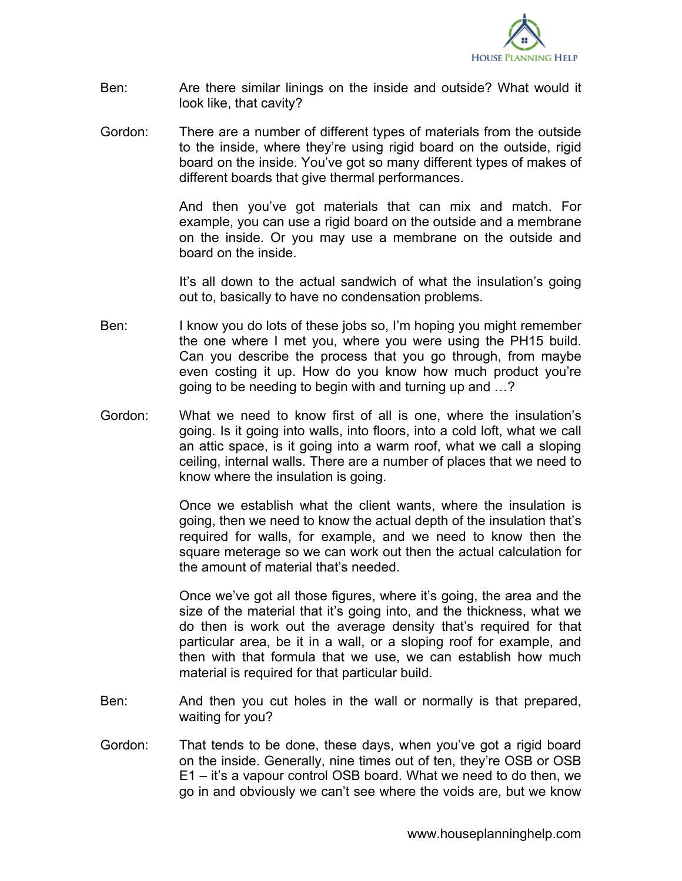

- Ben: Are there similar linings on the inside and outside? What would it look like, that cavity?
- Gordon: There are a number of different types of materials from the outside to the inside, where they're using rigid board on the outside, rigid board on the inside. You've got so many different types of makes of different boards that give thermal performances.

And then you've got materials that can mix and match. For example, you can use a rigid board on the outside and a membrane on the inside. Or you may use a membrane on the outside and board on the inside.

It's all down to the actual sandwich of what the insulation's going out to, basically to have no condensation problems.

- Ben: I know you do lots of these jobs so, I'm hoping you might remember the one where I met you, where you were using the PH15 build. Can you describe the process that you go through, from maybe even costing it up. How do you know how much product you're going to be needing to begin with and turning up and …?
- Gordon: What we need to know first of all is one, where the insulation's going. Is it going into walls, into floors, into a cold loft, what we call an attic space, is it going into a warm roof, what we call a sloping ceiling, internal walls. There are a number of places that we need to know where the insulation is going.

Once we establish what the client wants, where the insulation is going, then we need to know the actual depth of the insulation that's required for walls, for example, and we need to know then the square meterage so we can work out then the actual calculation for the amount of material that's needed.

Once we've got all those figures, where it's going, the area and the size of the material that it's going into, and the thickness, what we do then is work out the average density that's required for that particular area, be it in a wall, or a sloping roof for example, and then with that formula that we use, we can establish how much material is required for that particular build.

- Ben: And then you cut holes in the wall or normally is that prepared, waiting for you?
- Gordon: That tends to be done, these days, when you've got a rigid board on the inside. Generally, nine times out of ten, they're OSB or OSB E1 – it's a vapour control OSB board. What we need to do then, we go in and obviously we can't see where the voids are, but we know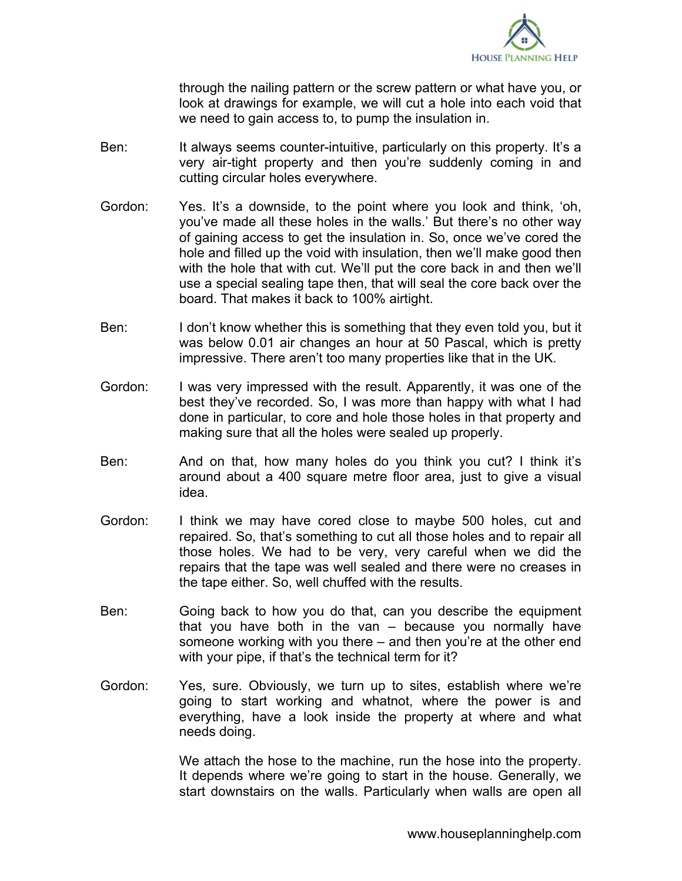

through the nailing pattern or the screw pattern or what have you, or look at drawings for example, we will cut a hole into each void that we need to gain access to, to pump the insulation in.

- Ben: It always seems counter-intuitive, particularly on this property. It's a very air-tight property and then you're suddenly coming in and cutting circular holes everywhere.
- Gordon: Yes. It's a downside, to the point where you look and think, 'oh, you've made all these holes in the walls.' But there's no other way of gaining access to get the insulation in. So, once we've cored the hole and filled up the void with insulation, then we'll make good then with the hole that with cut. We'll put the core back in and then we'll use a special sealing tape then, that will seal the core back over the board. That makes it back to 100% airtight.
- Ben: I don't know whether this is something that they even told you, but it was below 0.01 air changes an hour at 50 Pascal, which is pretty impressive. There aren't too many properties like that in the UK.
- Gordon: I was very impressed with the result. Apparently, it was one of the best they've recorded. So, I was more than happy with what I had done in particular, to core and hole those holes in that property and making sure that all the holes were sealed up properly.
- Ben: And on that, how many holes do you think you cut? I think it's around about a 400 square metre floor area, just to give a visual idea.
- Gordon: I think we may have cored close to maybe 500 holes, cut and repaired. So, that's something to cut all those holes and to repair all those holes. We had to be very, very careful when we did the repairs that the tape was well sealed and there were no creases in the tape either. So, well chuffed with the results.
- Ben: Going back to how you do that, can you describe the equipment that you have both in the van – because you normally have someone working with you there – and then you're at the other end with your pipe, if that's the technical term for it?
- Gordon: Yes, sure. Obviously, we turn up to sites, establish where we're going to start working and whatnot, where the power is and everything, have a look inside the property at where and what needs doing.

We attach the hose to the machine, run the hose into the property. It depends where we're going to start in the house. Generally, we start downstairs on the walls. Particularly when walls are open all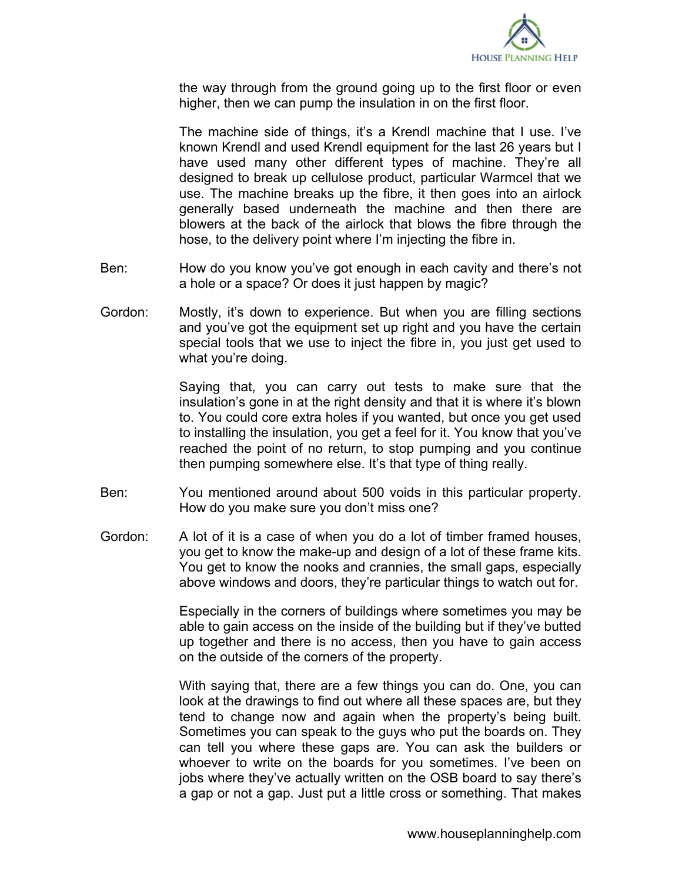

the way through from the ground going up to the first floor or even higher, then we can pump the insulation in on the first floor.

The machine side of things, it's a Krendl machine that I use. I've known Krendl and used Krendl equipment for the last 26 years but I have used many other different types of machine. They're all designed to break up cellulose product, particular Warmcel that we use. The machine breaks up the fibre, it then goes into an airlock generally based underneath the machine and then there are blowers at the back of the airlock that blows the fibre through the hose, to the delivery point where I'm injecting the fibre in.

- Ben: How do you know you've got enough in each cavity and there's not a hole or a space? Or does it just happen by magic?
- Gordon: Mostly, it's down to experience. But when you are filling sections and you've got the equipment set up right and you have the certain special tools that we use to inject the fibre in, you just get used to what you're doing.

Saying that, you can carry out tests to make sure that the insulation's gone in at the right density and that it is where it's blown to. You could core extra holes if you wanted, but once you get used to installing the insulation, you get a feel for it. You know that you've reached the point of no return, to stop pumping and you continue then pumping somewhere else. It's that type of thing really.

- Ben: You mentioned around about 500 voids in this particular property. How do you make sure you don't miss one?
- Gordon: A lot of it is a case of when you do a lot of timber framed houses, you get to know the make-up and design of a lot of these frame kits. You get to know the nooks and crannies, the small gaps, especially above windows and doors, they're particular things to watch out for.

Especially in the corners of buildings where sometimes you may be able to gain access on the inside of the building but if they've butted up together and there is no access, then you have to gain access on the outside of the corners of the property.

With saying that, there are a few things you can do. One, you can look at the drawings to find out where all these spaces are, but they tend to change now and again when the property's being built. Sometimes you can speak to the guys who put the boards on. They can tell you where these gaps are. You can ask the builders or whoever to write on the boards for you sometimes. I've been on jobs where they've actually written on the OSB board to say there's a gap or not a gap. Just put a little cross or something. That makes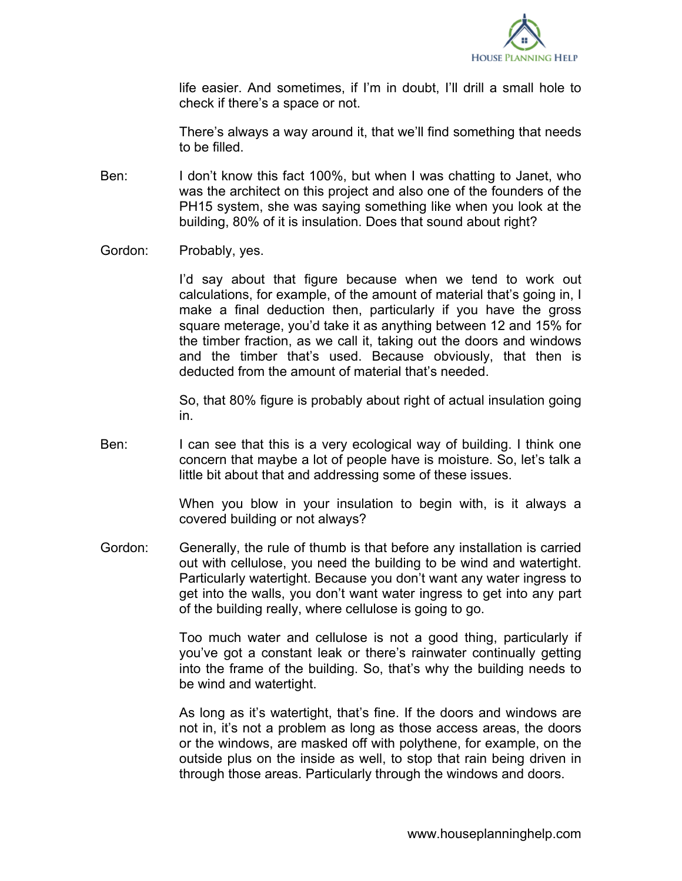

life easier. And sometimes, if I'm in doubt, I'll drill a small hole to check if there's a space or not.

There's always a way around it, that we'll find something that needs to be filled.

- Ben: I don't know this fact 100%, but when I was chatting to Janet, who was the architect on this project and also one of the founders of the PH15 system, she was saying something like when you look at the building, 80% of it is insulation. Does that sound about right?
- Gordon: Probably, yes.

I'd say about that figure because when we tend to work out calculations, for example, of the amount of material that's going in, I make a final deduction then, particularly if you have the gross square meterage, you'd take it as anything between 12 and 15% for the timber fraction, as we call it, taking out the doors and windows and the timber that's used. Because obviously, that then is deducted from the amount of material that's needed.

So, that 80% figure is probably about right of actual insulation going in.

Ben: I can see that this is a very ecological way of building. I think one concern that maybe a lot of people have is moisture. So, let's talk a little bit about that and addressing some of these issues.

> When you blow in your insulation to begin with, is it always a covered building or not always?

Gordon: Generally, the rule of thumb is that before any installation is carried out with cellulose, you need the building to be wind and watertight. Particularly watertight. Because you don't want any water ingress to get into the walls, you don't want water ingress to get into any part of the building really, where cellulose is going to go.

> Too much water and cellulose is not a good thing, particularly if you've got a constant leak or there's rainwater continually getting into the frame of the building. So, that's why the building needs to be wind and watertight.

> As long as it's watertight, that's fine. If the doors and windows are not in, it's not a problem as long as those access areas, the doors or the windows, are masked off with polythene, for example, on the outside plus on the inside as well, to stop that rain being driven in through those areas. Particularly through the windows and doors.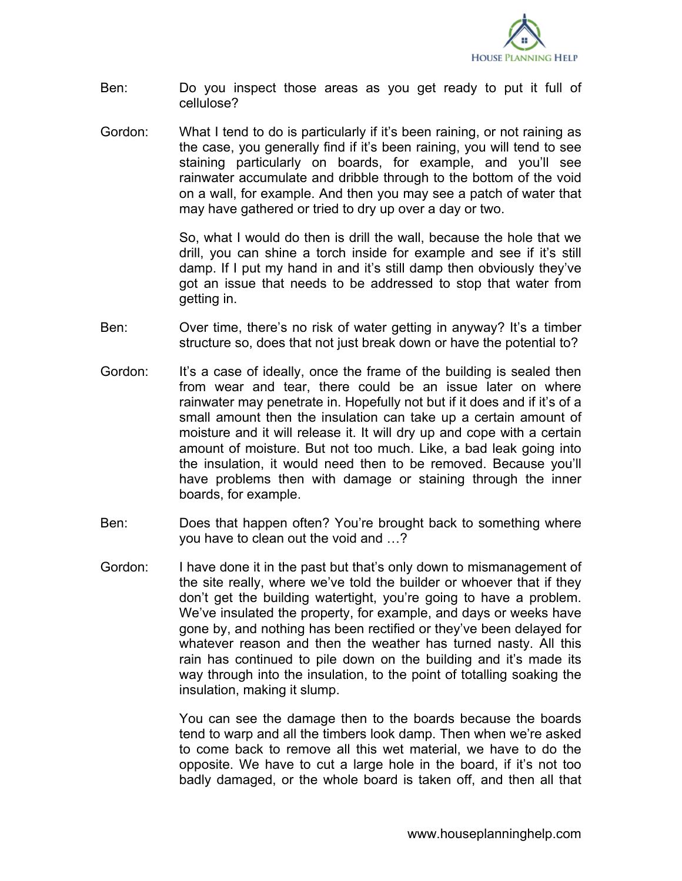

- Ben: Do you inspect those areas as you get ready to put it full of cellulose?
- Gordon: What I tend to do is particularly if it's been raining, or not raining as the case, you generally find if it's been raining, you will tend to see staining particularly on boards, for example, and you'll see rainwater accumulate and dribble through to the bottom of the void on a wall, for example. And then you may see a patch of water that may have gathered or tried to dry up over a day or two.

So, what I would do then is drill the wall, because the hole that we drill, you can shine a torch inside for example and see if it's still damp. If I put my hand in and it's still damp then obviously they've got an issue that needs to be addressed to stop that water from getting in.

- Ben: Over time, there's no risk of water getting in anyway? It's a timber structure so, does that not just break down or have the potential to?
- Gordon: It's a case of ideally, once the frame of the building is sealed then from wear and tear, there could be an issue later on where rainwater may penetrate in. Hopefully not but if it does and if it's of a small amount then the insulation can take up a certain amount of moisture and it will release it. It will dry up and cope with a certain amount of moisture. But not too much. Like, a bad leak going into the insulation, it would need then to be removed. Because you'll have problems then with damage or staining through the inner boards, for example.
- Ben: Does that happen often? You're brought back to something where you have to clean out the void and …?
- Gordon: I have done it in the past but that's only down to mismanagement of the site really, where we've told the builder or whoever that if they don't get the building watertight, you're going to have a problem. We've insulated the property, for example, and days or weeks have gone by, and nothing has been rectified or they've been delayed for whatever reason and then the weather has turned nasty. All this rain has continued to pile down on the building and it's made its way through into the insulation, to the point of totalling soaking the insulation, making it slump.

You can see the damage then to the boards because the boards tend to warp and all the timbers look damp. Then when we're asked to come back to remove all this wet material, we have to do the opposite. We have to cut a large hole in the board, if it's not too badly damaged, or the whole board is taken off, and then all that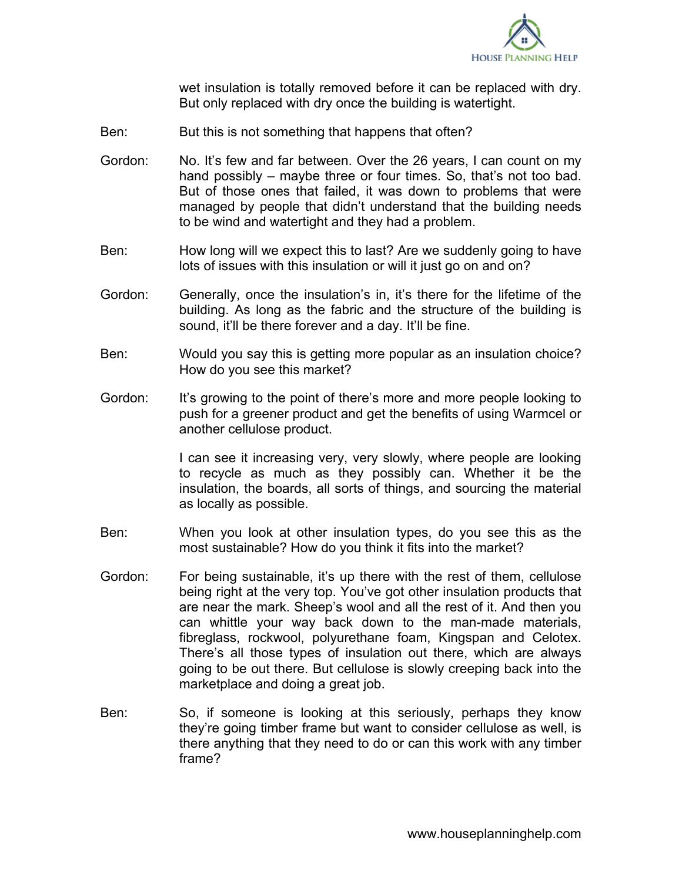

wet insulation is totally removed before it can be replaced with dry. But only replaced with dry once the building is watertight.

- Ben: But this is not something that happens that often?
- Gordon: No. It's few and far between. Over the 26 years, I can count on my hand possibly – maybe three or four times. So, that's not too bad. But of those ones that failed, it was down to problems that were managed by people that didn't understand that the building needs to be wind and watertight and they had a problem.
- Ben: How long will we expect this to last? Are we suddenly going to have lots of issues with this insulation or will it just go on and on?
- Gordon: Generally, once the insulation's in, it's there for the lifetime of the building. As long as the fabric and the structure of the building is sound, it'll be there forever and a day. It'll be fine.
- Ben: Would you say this is getting more popular as an insulation choice? How do you see this market?
- Gordon: It's growing to the point of there's more and more people looking to push for a greener product and get the benefits of using Warmcel or another cellulose product.

I can see it increasing very, very slowly, where people are looking to recycle as much as they possibly can. Whether it be the insulation, the boards, all sorts of things, and sourcing the material as locally as possible.

- Ben: When you look at other insulation types, do you see this as the most sustainable? How do you think it fits into the market?
- Gordon: For being sustainable, it's up there with the rest of them, cellulose being right at the very top. You've got other insulation products that are near the mark. Sheep's wool and all the rest of it. And then you can whittle your way back down to the man-made materials, fibreglass, rockwool, polyurethane foam, Kingspan and Celotex. There's all those types of insulation out there, which are always going to be out there. But cellulose is slowly creeping back into the marketplace and doing a great job.
- Ben: So, if someone is looking at this seriously, perhaps they know they're going timber frame but want to consider cellulose as well, is there anything that they need to do or can this work with any timber frame?